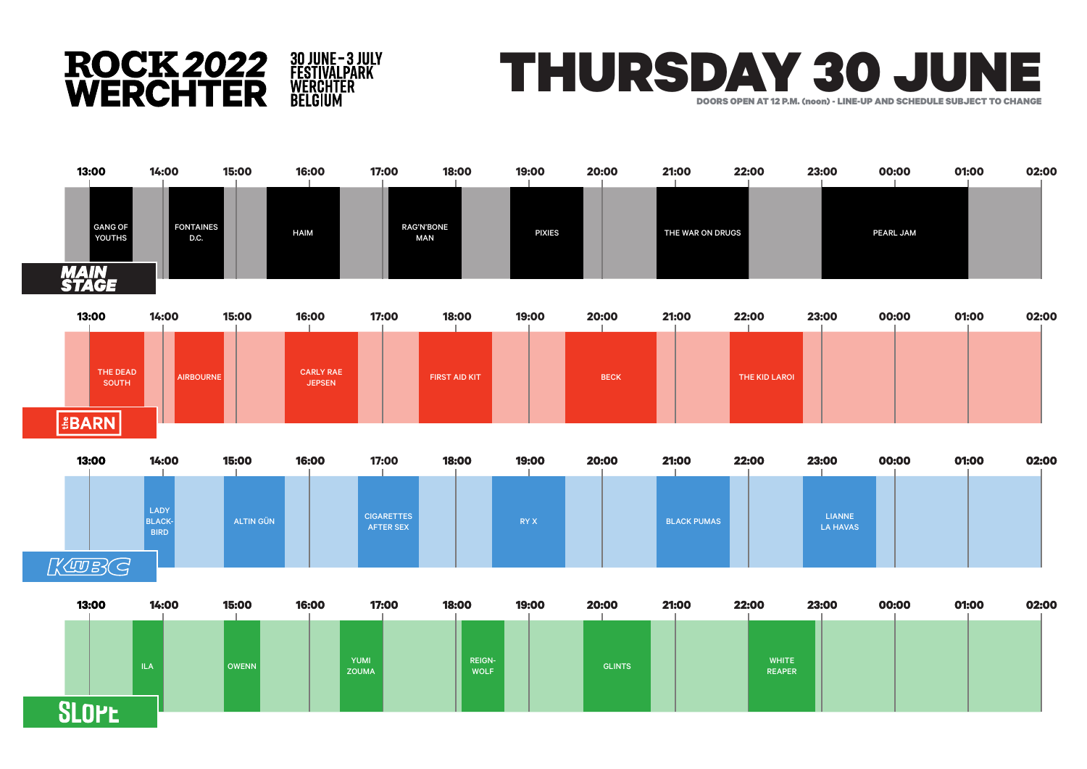





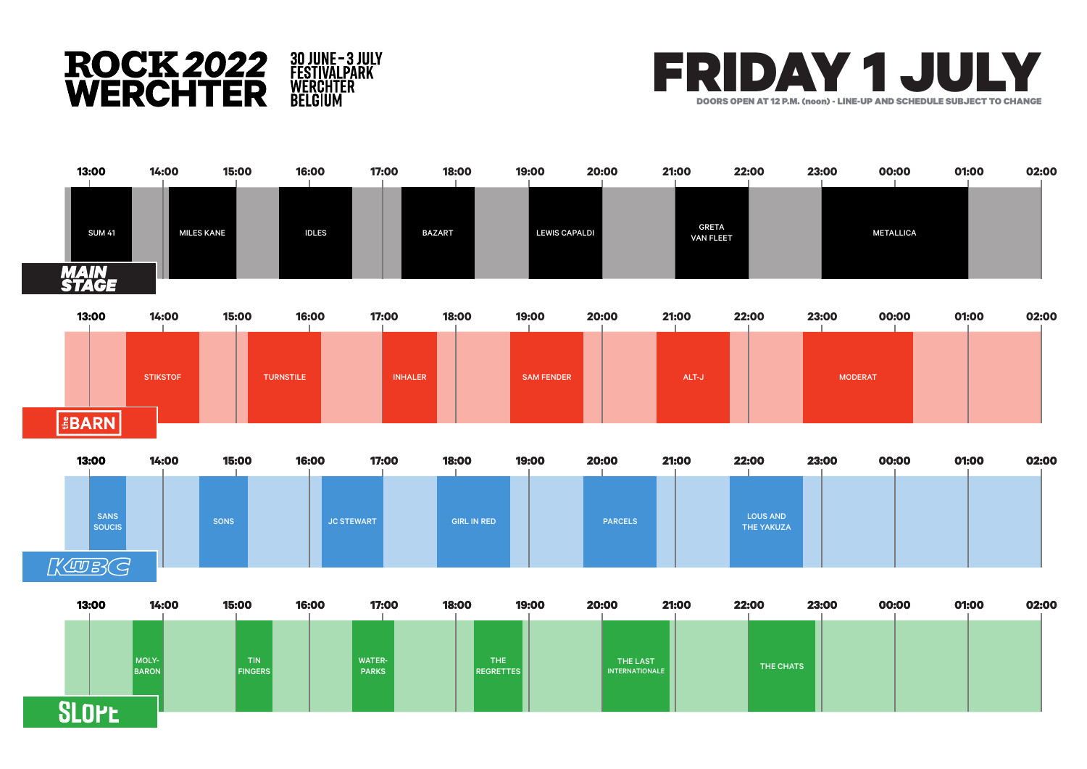





|    | 13:00                 | 14:00 | 15:00                              | 16:00 | 17:00                  | 18:00 |                                | 19:00<br>20:00 |                            | 21:00 | 22:00     | 23:00 | 00:00 | 01:00 | 02:00 |
|----|-----------------------|-------|------------------------------------|-------|------------------------|-------|--------------------------------|----------------|----------------------------|-------|-----------|-------|-------|-------|-------|
|    | MOLY-<br><b>BARON</b> |       | TIN <sup>1</sup><br><b>FINGERS</b> |       | WATER-<br><b>PARKS</b> |       | <b>THE</b><br><b>REGRETTES</b> |                | THE LAST<br>INTERNATIONALE |       | THE CHATS |       |       |       |       |
| mı |                       |       |                                    |       |                        |       |                                |                |                            |       |           |       |       |       |       |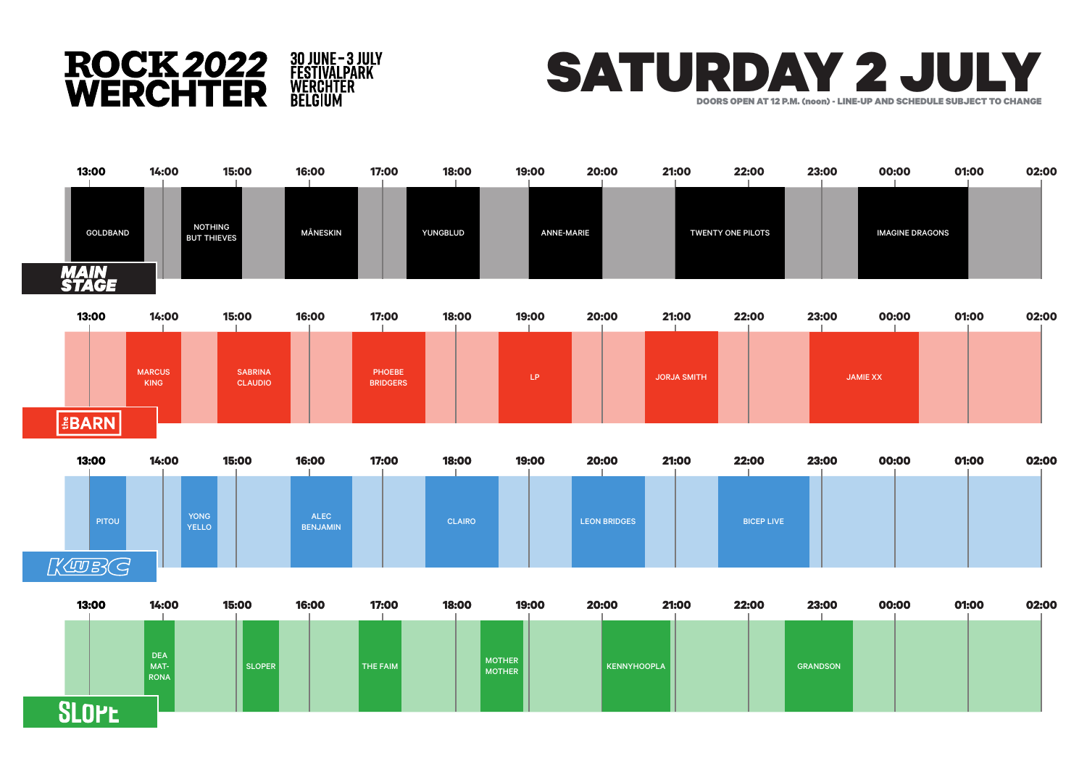





**SLOPE**